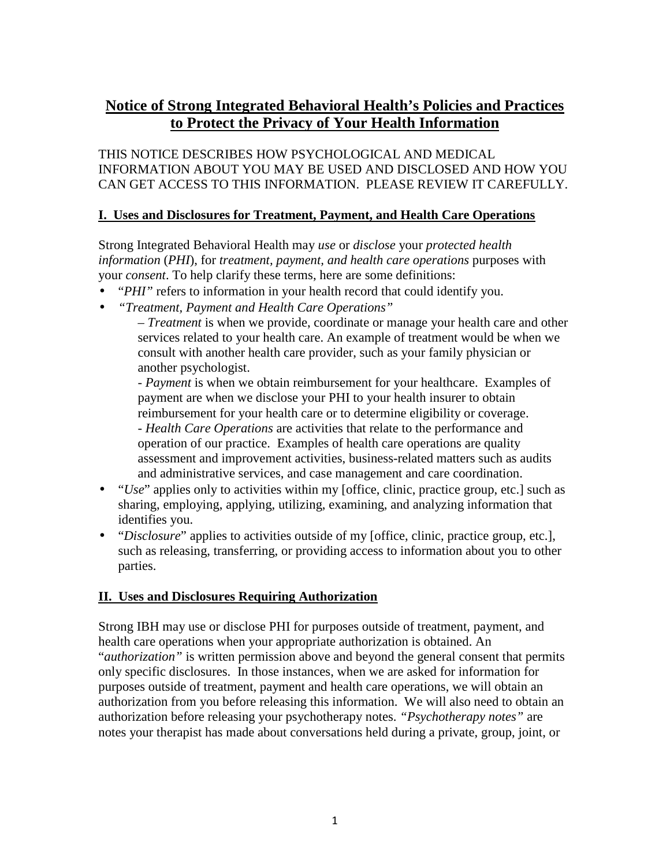# **Notice of Strong Integrated Behavioral Health's Policies and Practices to Protect the Privacy of Your Health Information**

THIS NOTICE DESCRIBES HOW PSYCHOLOGICAL AND MEDICAL INFORMATION ABOUT YOU MAY BE USED AND DISCLOSED AND HOW YOU CAN GET ACCESS TO THIS INFORMATION. PLEASE REVIEW IT CAREFULLY.

### **I. Uses and Disclosures for Treatment, Payment, and Health Care Operations**

Strong Integrated Behavioral Health may *use* or *disclose* your *protected health information* (*PHI*), for *treatment, payment, and health care operations* purposes with your *consent*. To help clarify these terms, here are some definitions:

- "*PHI*" refers to information in your health record that could identify you.
- *"Treatment, Payment and Health Care Operations"*

– *Treatment* is when we provide, coordinate or manage your health care and other services related to your health care. An example of treatment would be when we consult with another health care provider, such as your family physician or another psychologist.

- *Payment* is when we obtain reimbursement for your healthcare. Examples of payment are when we disclose your PHI to your health insurer to obtain reimbursement for your health care or to determine eligibility or coverage. - *Health Care Operations* are activities that relate to the performance and operation of our practice. Examples of health care operations are quality assessment and improvement activities, business-related matters such as audits and administrative services, and case management and care coordination.

- "*Use*" applies only to activities within my [office, clinic, practice group, etc.] such as sharing, employing, applying, utilizing, examining, and analyzing information that identifies you.
- "*Disclosure*" applies to activities outside of my [office, clinic, practice group, etc.], such as releasing, transferring, or providing access to information about you to other parties.

### **II. Uses and Disclosures Requiring Authorization**

Strong IBH may use or disclose PHI for purposes outside of treatment, payment, and health care operations when your appropriate authorization is obtained. An "*authorization"* is written permission above and beyond the general consent that permits only specific disclosures. In those instances, when we are asked for information for purposes outside of treatment, payment and health care operations, we will obtain an authorization from you before releasing this information. We will also need to obtain an authorization before releasing your psychotherapy notes. *"Psychotherapy notes"* are notes your therapist has made about conversations held during a private, group, joint, or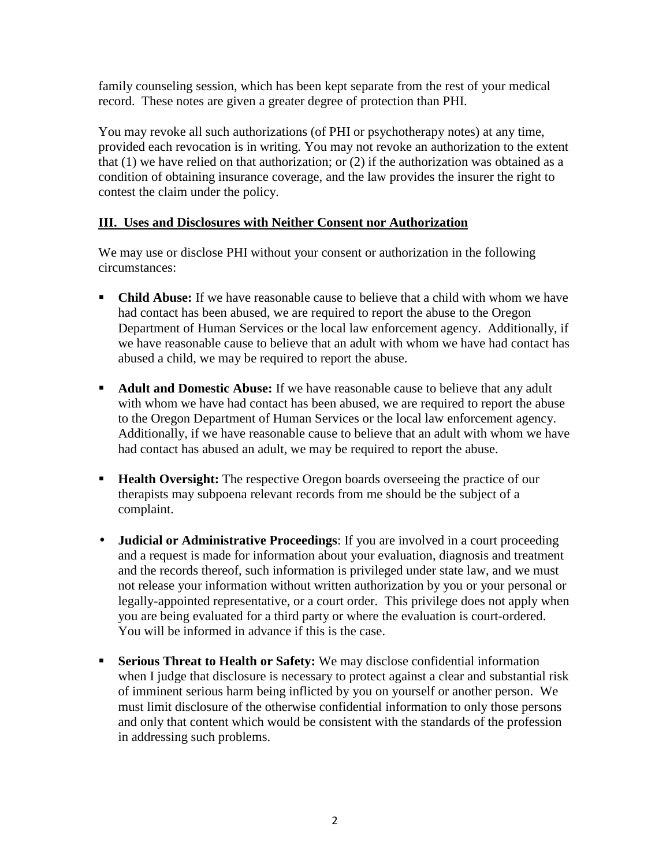family counseling session, which has been kept separate from the rest of your medical record. These notes are given a greater degree of protection than PHI.

You may revoke all such authorizations (of PHI or psychotherapy notes) at any time, provided each revocation is in writing. You may not revoke an authorization to the extent that (1) we have relied on that authorization; or (2) if the authorization was obtained as a condition of obtaining insurance coverage, and the law provides the insurer the right to contest the claim under the policy.

### **III. Uses and Disclosures with Neither Consent nor Authorization**

We may use or disclose PHI without your consent or authorization in the following circumstances:

- **Child Abuse:** If we have reasonable cause to believe that a child with whom we have had contact has been abused, we are required to report the abuse to the Oregon Department of Human Services or the local law enforcement agency. Additionally, if we have reasonable cause to believe that an adult with whom we have had contact has abused a child, we may be required to report the abuse.
- **Adult and Domestic Abuse:** If we have reasonable cause to believe that any adult with whom we have had contact has been abused, we are required to report the abuse to the Oregon Department of Human Services or the local law enforcement agency. Additionally, if we have reasonable cause to believe that an adult with whom we have had contact has abused an adult, we may be required to report the abuse.
- **Health Oversight:** The respective Oregon boards overseeing the practice of our therapists may subpoena relevant records from me should be the subject of a complaint.
- **Judicial or Administrative Proceedings**: If you are involved in a court proceeding and a request is made for information about your evaluation, diagnosis and treatment and the records thereof, such information is privileged under state law, and we must not release your information without written authorization by you or your personal or legally-appointed representative, or a court order. This privilege does not apply when you are being evaluated for a third party or where the evaluation is court-ordered. You will be informed in advance if this is the case.
- **Serious Threat to Health or Safety:** We may disclose confidential information when I judge that disclosure is necessary to protect against a clear and substantial risk of imminent serious harm being inflicted by you on yourself or another person. We must limit disclosure of the otherwise confidential information to only those persons and only that content which would be consistent with the standards of the profession in addressing such problems.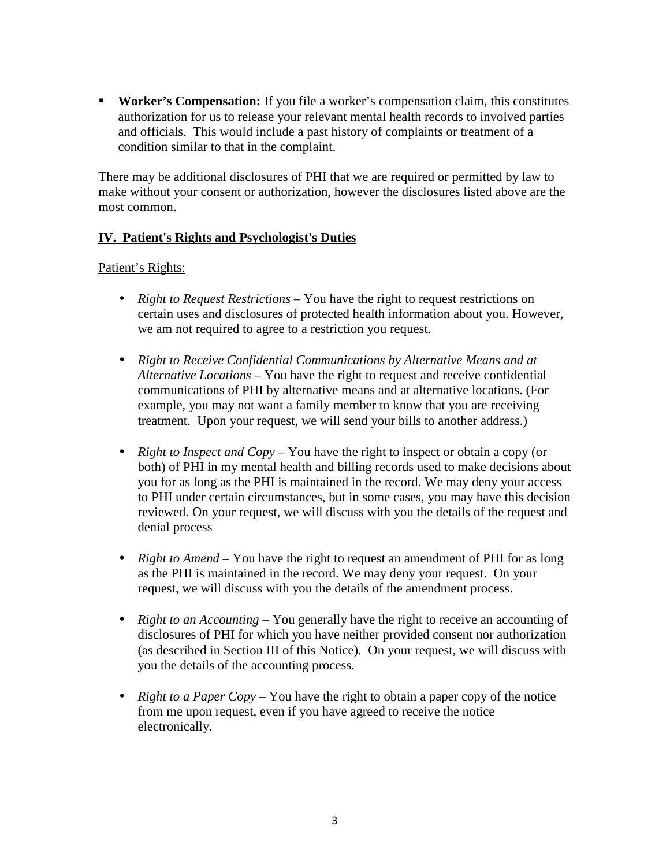**Worker's Compensation:** If you file a worker's compensation claim, this constitutes authorization for us to release your relevant mental health records to involved parties and officials. This would include a past history of complaints or treatment of a condition similar to that in the complaint.

There may be additional disclosures of PHI that we are required or permitted by law to make without your consent or authorization, however the disclosures listed above are the most common.

### **IV. Patient's Rights and Psychologist's Duties**

#### Patient's Rights:

- *Right to Request Restrictions* You have the right to request restrictions on certain uses and disclosures of protected health information about you. However, we am not required to agree to a restriction you request.
- *Right to Receive Confidential Communications by Alternative Means and at Alternative Locations* – You have the right to request and receive confidential communications of PHI by alternative means and at alternative locations. (For example, you may not want a family member to know that you are receiving treatment. Upon your request, we will send your bills to another address.)
- *Right to Inspect and Copy* You have the right to inspect or obtain a copy (or both) of PHI in my mental health and billing records used to make decisions about you for as long as the PHI is maintained in the record. We may deny your access to PHI under certain circumstances, but in some cases, you may have this decision reviewed. On your request, we will discuss with you the details of the request and denial process
- *Right to Amend* You have the right to request an amendment of PHI for as long as the PHI is maintained in the record. We may deny your request. On your request, we will discuss with you the details of the amendment process.
- *Right to an Accounting* You generally have the right to receive an accounting of disclosures of PHI for which you have neither provided consent nor authorization (as described in Section III of this Notice). On your request, we will discuss with you the details of the accounting process.
- *Right to a Paper Copy*  You have the right to obtain a paper copy of the notice from me upon request, even if you have agreed to receive the notice electronically.